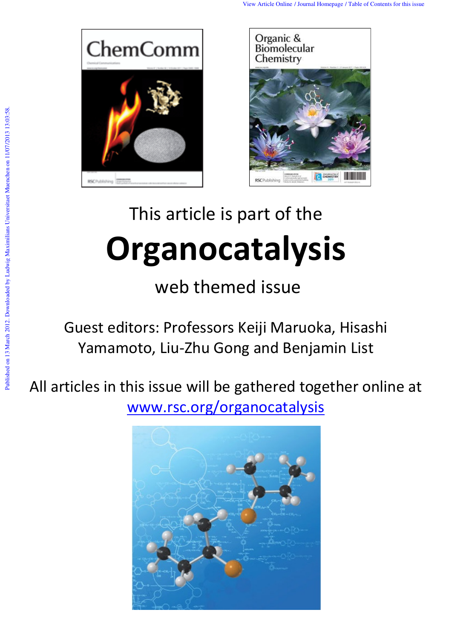



# This article is part of the **Organocatalysis**

web themed issue

Guest editors: Professors Keiji Maruoka, Hisashi Yamamoto, Liu-Zhu Gong and Benjamin List

All articles in this issue will be gathered together online at www.rsc.org/organocatalysis

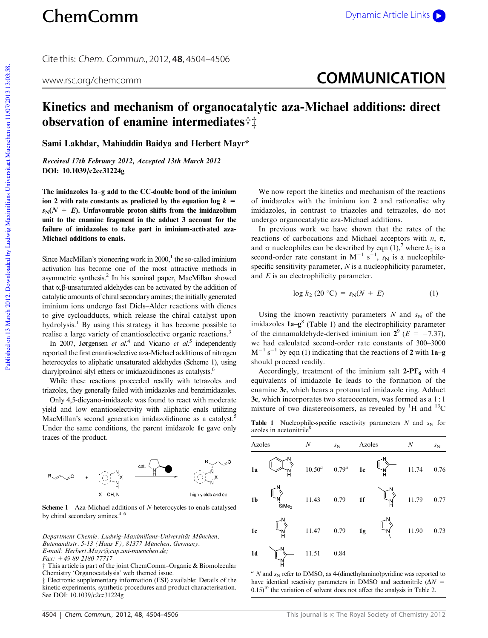## ChemComm Dynamic Article Links

Cite this: Chem. Commun., 2012, **48**, 4504–4506

### www.rsc.org/chemcomm **COMMUNICATION**

#### Kinetics and mechanism of organocatalytic aza-Michael additions: direct observation of enamine intermediates $\ddagger\ddagger$

Sami Lakhdar, Mahiuddin Baidya and Herbert Mayr\*

Received 17th February 2012, Accepted 13th March 2012 DOI: 10.1039/c2cc31224g

The imidazoles 1a–g add to the CC-double bond of the iminium ion 2 with rate constants as predicted by the equation log  $k =$  $s_N(N + E)$ . Unfavourable proton shifts from the imidazolium unit to the enamine fragment in the adduct 3 account for the failure of imidazoles to take part in iminium-activated aza-Michael additions to enals.

Since MacMillan's pioneering work in  $2000$ ,<sup>1</sup> the so-called iminium activation has become one of the most attractive methods in asymmetric synthesis.<sup>2</sup> In his seminal paper, MacMillan showed that  $\alpha$ , $\beta$ -unsaturated aldehydes can be activated by the addition of catalytic amounts of chiral secondary amines; the initially generated iminium ions undergo fast Diels–Alder reactions with dienes to give cycloadducts, which release the chiral catalyst upon hydrolysis.<sup>1</sup> By using this strategy it has become possible to realise a large variety of enantioselective organic reactions.<sup>3</sup>

In 2007, Jørgensen *et al.*<sup>4</sup> and Vicario *et al.*<sup>5</sup> independently reported the first enantioselective aza-Michael additions of nitrogen heterocycles to aliphatic unsaturated aldehydes (Scheme 1), using diarylprolinol silyl ethers or imidazolidinones as catalysts.<sup>6</sup>

While these reactions proceeded readily with tetrazoles and triazoles, they generally failed with imidazoles and benzimidazoles.

Only 4,5-dicyano-imidazole was found to react with moderate yield and low enantioselectivity with aliphatic enals utilizing MacMillan's second generation imidazolidinone as a catalyst.<sup>5</sup> Under the same conditions, the parent imidazole 1c gave only traces of the product.



Scheme 1 Aza-Michael additions of *N*-heterocycles to enals catalysed by chiral secondary amines.<sup>4-6</sup>

We now report the kinetics and mechanism of the reactions of imidazoles with the iminium ion 2 and rationalise why imidazoles, in contrast to triazoles and tetrazoles, do not undergo organocatalytic aza-Michael additions.

In previous work we have shown that the rates of the reactions of carbocations and Michael acceptors with  $n$ ,  $\pi$ , and  $\sigma$  nucleophiles can be described by eqn (1),<sup>7</sup> where  $k_2$  is a second-order rate constant in  $M^{-1}$  s<sup>-1</sup>,  $s_N$  is a nucleophilespecific sensitivity parameter, *N* is a nucleophilicity parameter, and *E* is an electrophilicity parameter.

$$
\log k_2\left(20\text{ }^\circ\text{C}\right) = s_N(N + E) \tag{1}
$$

Using the known reactivity parameters  $N$  and  $s_N$  of the imidazoles  $1a-g^8$  (Table 1) and the electrophilicity parameter of the cinnamaldehyde-derived iminium ion  $2^9$  ( $E = -7.37$ ), we had calculated second-order rate constants of 300–3000  $M^{-1}$  s<sup>-1</sup> by eqn (1) indicating that the reactions of 2 with 1a-g should proceed readily.

Accordingly, treatment of the iminium salt  $2-PF_6$  with 4 equivalents of imidazole 1c leads to the formation of the enamine 3c, which bears a protonated imidazole ring. Adduct 3c, which incorporates two stereocenters, was formed as a 1 : 1 mixture of two diastereoisomers, as revealed by  ${}^{1}H$  and  ${}^{13}C$ 

**Table 1** Nucleophile-specific reactivity parameters  $N$  and  $s_N$  for azoles in acetonitrile<sup>8</sup>

| Azoles         |                                 | $\boldsymbol{N}$ | Azoles<br>$S_{\mathbf{N}}$   |  | $\boldsymbol{N}$                     | $s_{\rm N}$  |      |
|----------------|---------------------------------|------------------|------------------------------|--|--------------------------------------|--------------|------|
| 1a             |                                 |                  | $10.50^a$ $0.79^a$ <b>1e</b> |  | $\mathbb{L}_{\mathbb{N}}^{\geq}$     | 11.74        | 0.76 |
| 1 <sub>b</sub> | $\overleftarrow{\text{SiMe}_3}$ |                  | 11.43 0.79 1f                |  |                                      | 11.79 $0.77$ |      |
| 1c             |                                 |                  | 11.47 0.79 <b>1g</b>         |  | $\mathbb{L}^{\searrow}_{\mathsf{N}}$ | 11.90 0.73   |      |
| 1 <sub>d</sub> |                                 | 11.51            | 0.84                         |  |                                      |              |      |

 $a$  *N* and  $s_N$  refer to DMSO, as 4-(dimethylamino)pyridine was reported to have identical reactivity parameters in DMSO and acetonitrile  $(\Delta N =$  $(0.15)^{10}$  the variation of solvent does not affect the analysis in Table 2.

Department Chemie, Ludwig-Maximilians-Universität München, Butenandtstr. 5-13 (Haus F), 81377 München, Germany. *E-mail: Herbert.Mayr@cup.uni-muenchen.de; Fax: +49 89 2180 77717*

 $\dagger$  This article is part of the joint ChemComm–Organic & Biomolecular Chemistry 'Organocatalysis' web themed issue.

 $\ddagger$  Electronic supplementary information (ESI) available: Details of the kinetic experiments, synthetic procedures and product characterisation. See DOI: 10.1039/c2cc31224g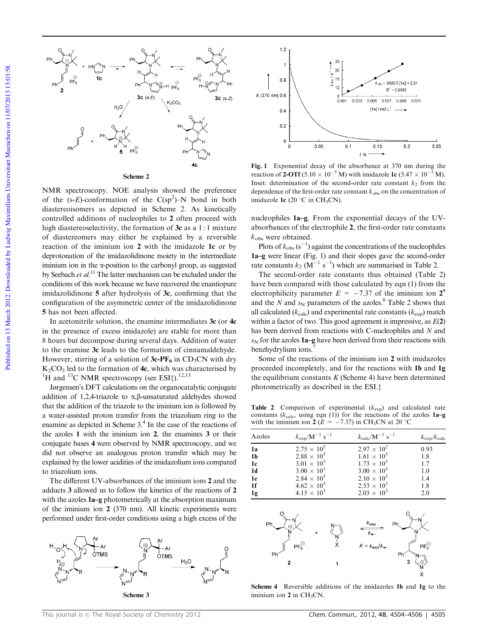

NMR spectroscopy. NOE analysis showed the preference of the  $(s-E)$ -conformation of the  $C(sp^2)$ –N bond in both diastereoisomers as depicted in Scheme 2. As kinetically controlled additions of nucleophiles to 2 often proceed with high diastereoselectivity, the formation of 3c as a 1:1 mixture of diastereomers may either be explained by a reversible reaction of the iminium ion 2 with the imidazole 1c or by deprotonation of the imidazolidinone moiety in the intermediate iminium ion in the  $\alpha$ -position to the carbonyl group, as suggested by Seebach *et al.*<sup>11</sup> The latter mechanism can be excluded under the conditions of this work because we have recovered the enantiopure imidazolidinone 5 after hydrolysis of 3c, confirming that the configuration of the asymmetric center of the imidazolidinone 5 has not been affected.

In acetonitrile solution, the enamine intermediates 3c (or 4c in the presence of excess imidazole) are stable for more than 8 hours but decompose during several days. Addition of water to the enamine 3c leads to the formation of cinnamaldehyde. However, stirring of a solution of  $3c$ -PF<sub>6</sub> in CD<sub>3</sub>CN with dry  $K_2CO_3$  led to the formation of  $4c$ , which was characterised by <sup>1</sup>H and <sup>13</sup>C NMR spectroscopy (see ESI $\ddagger$ ).<sup>12,13</sup>

Jørgensen's DFT calculations on the organocatalytic conjugate addition of 1,2,4-triazole to  $\alpha, \beta$ -unsaturated aldehydes showed that the addition of the triazole to the iminium ion is followed by a water-assisted proton transfer from the triazolium ring to the enamine as depicted in Scheme 3.<sup>4</sup> In the case of the reactions of the azoles 1 with the iminium ion 2, the enamines 3 or their conjugate bases 4 were observed by NMR spectroscopy, and we did not observe an analogous proton transfer which may be explained by the lower acidities of the imidazolium ions compared to triazolium ions.

The different UV-absorbances of the iminium ions 2 and the adducts 3 allowed us to follow the kinetics of the reactions of 2 with the azoles  $1a-g$  photometrically at the absorption maximum of the iminium ion 2 (370 nm). All kinetic experiments were performed under first-order conditions using a high excess of the





Fig. 1 Exponential decay of the absorbance at 370 nm during the reaction of 2-OTf (5.10  $\times$  10<sup>-5</sup> M) with imidazole 1c (5.47  $\times$  10<sup>-3</sup> M). Inset: determination of the second-order rate constant  $k_2$  from the dependence of the first-order rate constant  $k_{obs}$  on the concentration of imidazole 1c (20 $\degree$ C in CH<sub>3</sub>CN).

nucleophiles 1a–g. From the exponential decays of the UVabsorbances of the electrophile 2, the first-order rate constants *k*obs were obtained.

Plots of  $k_{obs}$  ( $s^{-1}$ ) against the concentrations of the nucleophiles 1a–g were linear (Fig. 1) and their slopes gave the second-order rate constants  $k_2$  (M<sup>-1</sup> s<sup>-1</sup>) which are summarised in Table 2.

The second-order rate constants thus obtained (Table 2) have been compared with those calculated by eqn (1) from the electrophilicity parameter  $E = -7.37$  of the iminium ion  $2^9$ and the  $N$  and  $s_N$  parameters of the azoles.<sup>8</sup> Table 2 shows that all calculated  $(k_{\text{calc}})$  and experimental rate constants  $(k_{\text{exp}})$  match within a factor of two. This good agreement is impressive, as *E*(2) has been derived from reactions with C-nucleophiles and *N* and  $s_N$  for the azoles 1a–g have been derived from their reactions with benzhydrylium ions.<sup>7</sup>

Some of the reactions of the iminium ion 2 with imidazoles proceeded incompletely, and for the reactions with 1b and 1g the equilibrium constants *K* (Scheme 4) have been determined photometrically as described in the ESI.<sup> $\ddagger$ </sup>

Table 2 Comparison of experimental (*k*exp) and calculated rate constants ( $k_{\text{calc}}$ , using eqn (1)) for the reactions of the azoles **1a–g** with the iminium ion 2 ( $\vec{E} = -7.37$ ) in CH<sub>3</sub>CN at 20 °C

| Azoles         | $k_{\rm exp} / M^{-1}$ s <sup>-1</sup> | $k_{\rm calc} / M^{-1}$ s <sup>-1</sup> | $k_{\rm exp}/k_{\rm calc}$ |
|----------------|----------------------------------------|-----------------------------------------|----------------------------|
| 1a             | $2.75 \times 10^{2}$                   | $2.97 \times 10^{2}$                    | 0.93                       |
| 1 <sub>b</sub> | $2.88 \times 10^{3}$                   | $1.61 \times 10^{3}$                    | 1.8                        |
| 1c             | $3.01 \times 10^{3}$                   | $1.73 \times 10^{3}$                    | 1.7                        |
| 1 <sub>d</sub> | $3.00 \times 10^{3}$                   | $3.00 \times 10^{3}$                    | 1.0                        |
| 1e             | $2.84 \times 10^{3}$                   | $2.10 \times 10^{3}$                    | 1.4                        |
| 1f             | $4.62 \times 10^{3}$                   | $2.53 \times 10^{3}$                    | 1.8                        |
| 1g             | $4.15 \times 10^{3}$                   | $2.03 \times 10^{3}$                    | 2.0                        |



Scheme 4 Reversible additions of the imidazoles 1b and 1g to the iminium ion  $2$  in  $CH<sub>3</sub>CN$ .